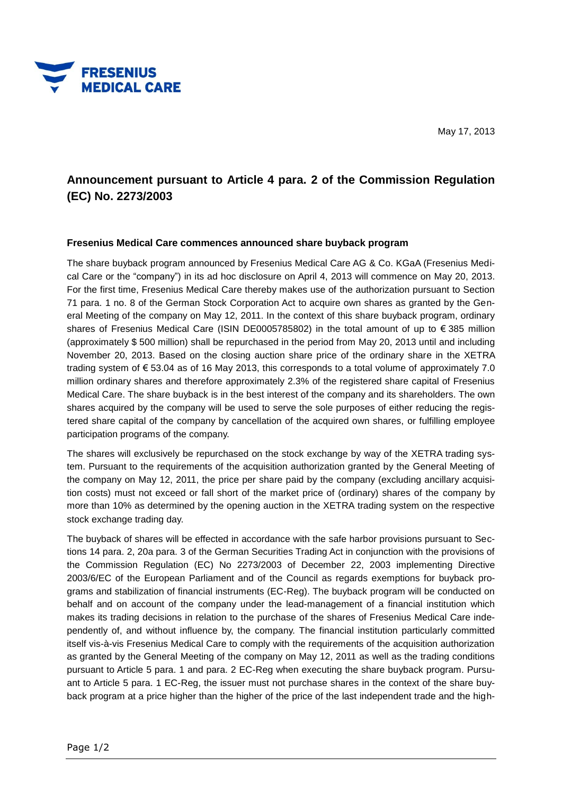

## **Announcement pursuant to Article 4 para. 2 of the Commission Regulation (EC) No. 2273/2003**

## **Fresenius Medical Care commences announced share buyback program**

The share buyback program announced by Fresenius Medical Care AG & Co. KGaA (Fresenius Medical Care or the "company") in its ad hoc disclosure on April 4, 2013 will commence on May 20, 2013. For the first time, Fresenius Medical Care thereby makes use of the authorization pursuant to Section 71 para. 1 no. 8 of the German Stock Corporation Act to acquire own shares as granted by the General Meeting of the company on May 12, 2011. In the context of this share buyback program, ordinary shares of Fresenius Medical Care (ISIN DE0005785802) in the total amount of up to € 385 million (approximately \$ 500 million) shall be repurchased in the period from May 20, 2013 until and including November 20, 2013. Based on the closing auction share price of the ordinary share in the XETRA trading system of € 53.04 as of 16 May 2013, this corresponds to a total volume of approximately 7.0 million ordinary shares and therefore approximately 2.3% of the registered share capital of Fresenius Medical Care. The share buyback is in the best interest of the company and its shareholders. The own shares acquired by the company will be used to serve the sole purposes of either reducing the registered share capital of the company by cancellation of the acquired own shares, or fulfilling employee participation programs of the company.

The shares will exclusively be repurchased on the stock exchange by way of the XETRA trading system. Pursuant to the requirements of the acquisition authorization granted by the General Meeting of the company on May 12, 2011, the price per share paid by the company (excluding ancillary acquisition costs) must not exceed or fall short of the market price of (ordinary) shares of the company by more than 10% as determined by the opening auction in the XETRA trading system on the respective stock exchange trading day.

The buyback of shares will be effected in accordance with the safe harbor provisions pursuant to Sections 14 para. 2, 20a para. 3 of the German Securities Trading Act in conjunction with the provisions of the Commission Regulation (EC) No 2273/2003 of December 22, 2003 implementing Directive 2003/6/EC of the European Parliament and of the Council as regards exemptions for buyback programs and stabilization of financial instruments (EC-Reg). The buyback program will be conducted on behalf and on account of the company under the lead-management of a financial institution which makes its trading decisions in relation to the purchase of the shares of Fresenius Medical Care independently of, and without influence by, the company. The financial institution particularly committed itself vis-à-vis Fresenius Medical Care to comply with the requirements of the acquisition authorization as granted by the General Meeting of the company on May 12, 2011 as well as the trading conditions pursuant to Article 5 para. 1 and para. 2 EC-Reg when executing the share buyback program. Pursuant to Article 5 para. 1 EC-Reg, the issuer must not purchase shares in the context of the share buyback program at a price higher than the higher of the price of the last independent trade and the high